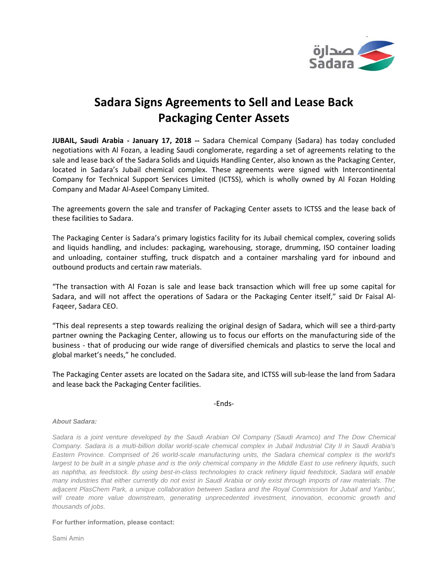

## **Sadara Signs Agreements to Sell and Lease Back Packaging Center Assets**

**JUBAIL, Saudi Arabia ‐ January 17, 2018 ‐‐** Sadara Chemical Company (Sadara) has today concluded negotiations with Al Fozan, a leading Saudi conglomerate, regarding a set of agreements relating to the sale and lease back of the Sadara Solids and Liquids Handling Center, also known as the Packaging Center, located in Sadara's Jubail chemical complex. These agreements were signed with Intercontinental Company for Technical Support Services Limited (ICTSS), which is wholly owned by Al Fozan Holding Company and Madar Al‐Aseel Company Limited.

The agreements govern the sale and transfer of Packaging Center assets to ICTSS and the lease back of these facilities to Sadara.

The Packaging Center is Sadara's primary logistics facility for its Jubail chemical complex, covering solids and liquids handling, and includes: packaging, warehousing, storage, drumming, ISO container loading and unloading, container stuffing, truck dispatch and a container marshaling yard for inbound and outbound products and certain raw materials.

"The transaction with Al Fozan is sale and lease back transaction which will free up some capital for Sadara, and will not affect the operations of Sadara or the Packaging Center itself," said Dr Faisal Al‐ Faqeer, Sadara CEO.

"This deal represents a step towards realizing the original design of Sadara, which will see a third‐party partner owning the Packaging Center, allowing us to focus our efforts on the manufacturing side of the business ‐ that of producing our wide range of diversified chemicals and plastics to serve the local and global market's needs," he concluded.

The Packaging Center assets are located on the Sadara site, and ICTSS will sub‐lease the land from Sadara and lease back the Packaging Center facilities.

‐Ends‐

## *About Sadara:*

*Sadara is a joint venture developed by the Saudi Arabian Oil Company (Saudi Aramco) and The Dow Chemical Company. Sadara is a multi-billion dollar world-scale chemical complex in Jubail Industrial City II in Saudi Arabia's Eastern Province. Comprised of 26 world-scale manufacturing units, the Sadara chemical complex is the world's largest to be built in a single phase and is the only chemical company in the Middle East to use refinery liquids, such as naphtha, as feedstock. By using best-in-class technologies to crack refinery liquid feedstock, Sadara will enable many industries that either currently do not exist in Saudi Arabia or only exist through imports of raw materials. The adjacent PlasChem Park, a unique collaboration between Sadara and the Royal Commission for Jubail and Yanbu',*  will create more value downstream, generating unprecedented investment, innovation, economic growth and *thousands of jobs.* 

**For further information, please contact:** 

Sami Amin